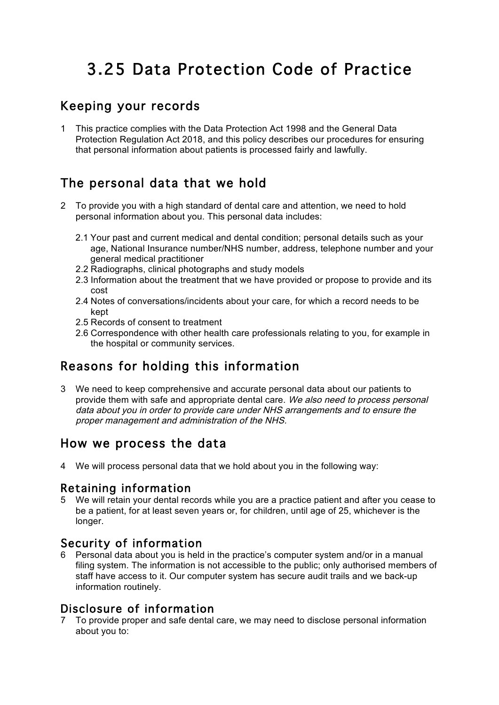# 3.25 Data Protection Code of Practice

## Keeping your records

1 This practice complies with the Data Protection Act 1998 and the General Data Protection Regulation Act 2018, and this policy describes our procedures for ensuring that personal information about patients is processed fairly and lawfully.

## The personal data that we hold

- 2 To provide you with a high standard of dental care and attention, we need to hold personal information about you. This personal data includes:
	- 2.1 Your past and current medical and dental condition; personal details such as your age, National Insurance number/NHS number, address, telephone number and your general medical practitioner
	- 2.2 Radiographs, clinical photographs and study models
	- 2.3 Information about the treatment that we have provided or propose to provide and its cost
	- 2.4 Notes of conversations/incidents about your care, for which a record needs to be kept
	- 2.5 Records of consent to treatment
	- 2.6 Correspondence with other health care professionals relating to you, for example in the hospital or community services.

## Reasons for holding this information

3 We need to keep comprehensive and accurate personal data about our patients to provide them with safe and appropriate dental care. We also need to process personal data about you in order to provide care under NHS arrangements and to ensure the proper management and administration of the NHS.

### How we process the data

4 We will process personal data that we hold about you in the following way:

#### Retaining information

5 We will retain your dental records while you are a practice patient and after you cease to be a patient, for at least seven years or, for children, until age of 25, whichever is the longer.

#### Security of information

6 Personal data about you is held in the practice's computer system and/or in a manual filing system. The information is not accessible to the public; only authorised members of staff have access to it. Our computer system has secure audit trails and we back-up information routinely.

#### Disclosure of information

7 To provide proper and safe dental care, we may need to disclose personal information about you to: